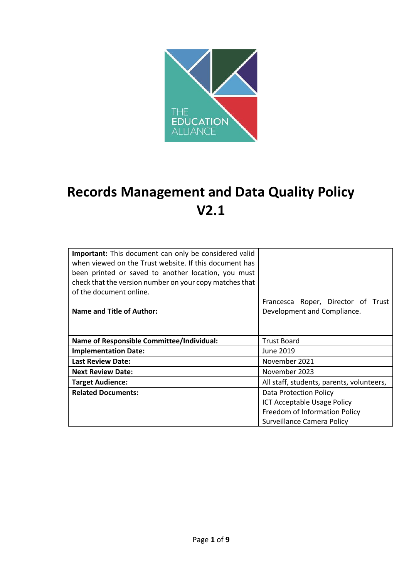

# **Records Management and Data Quality Policy V2.1**

| <b>Important:</b> This document can only be considered valid<br>when viewed on the Trust website. If this document has<br>been printed or saved to another location, you must<br>check that the version number on your copy matches that<br>of the document online. |                                                                   |  |
|---------------------------------------------------------------------------------------------------------------------------------------------------------------------------------------------------------------------------------------------------------------------|-------------------------------------------------------------------|--|
| <b>Name and Title of Author:</b>                                                                                                                                                                                                                                    | Francesca Roper, Director of Trust<br>Development and Compliance. |  |
|                                                                                                                                                                                                                                                                     |                                                                   |  |
| <b>Name of Responsible Committee/Individual:</b>                                                                                                                                                                                                                    | <b>Trust Board</b>                                                |  |
| <b>Implementation Date:</b>                                                                                                                                                                                                                                         | June 2019                                                         |  |
| <b>Last Review Date:</b>                                                                                                                                                                                                                                            | November 2021                                                     |  |
| <b>Next Review Date:</b>                                                                                                                                                                                                                                            | November 2023                                                     |  |
| <b>Target Audience:</b>                                                                                                                                                                                                                                             | All staff, students, parents, volunteers,                         |  |
| <b>Related Documents:</b>                                                                                                                                                                                                                                           | Data Protection Policy                                            |  |
|                                                                                                                                                                                                                                                                     | <b>ICT Acceptable Usage Policy</b>                                |  |
|                                                                                                                                                                                                                                                                     | Freedom of Information Policy                                     |  |
|                                                                                                                                                                                                                                                                     | Surveillance Camera Policy                                        |  |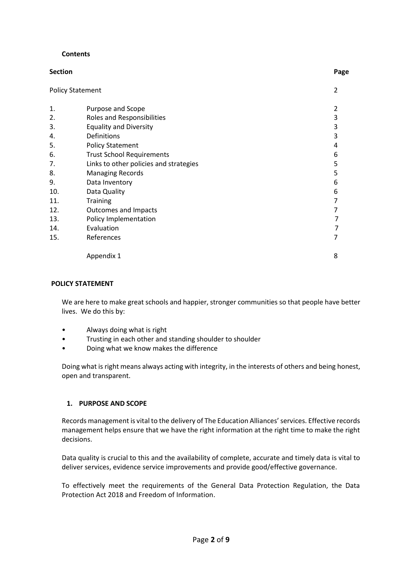#### **Contents**

| <b>Section</b>          |                                        | Page           |
|-------------------------|----------------------------------------|----------------|
| <b>Policy Statement</b> |                                        | $\overline{2}$ |
| 1.                      | Purpose and Scope                      | 2              |
| 2.                      | Roles and Responsibilities             | 3              |
| 3.                      | <b>Equality and Diversity</b>          | 3              |
| 4.                      | Definitions                            | 3              |
| 5.                      | <b>Policy Statement</b>                | 4              |
| 6.                      | <b>Trust School Requirements</b>       | 6              |
| 7.                      | Links to other policies and strategies | 5              |
| 8.                      | <b>Managing Records</b>                | 5              |
| 9.                      | Data Inventory                         | 6              |
| 10.                     | Data Quality                           | 6              |
| 11.                     | Training                               | 7              |
| 12.                     | <b>Outcomes and Impacts</b>            | 7              |
| 13.                     | Policy Implementation                  | 7              |
| 14.                     | Evaluation                             |                |
| 15.                     | References                             |                |
|                         | Appendix 1                             | 8              |

#### **POLICY STATEMENT**

We are here to make great schools and happier, stronger communities so that people have better lives. We do this by:

- Always doing what is right
- Trusting in each other and standing shoulder to shoulder
- Doing what we know makes the difference

Doing what is right means always acting with integrity, in the interests of others and being honest, open and transparent.

#### **1. PURPOSE AND SCOPE**

Records management is vital to the delivery of The Education Alliances' services. Effective records management helps ensure that we have the right information at the right time to make the right decisions.

Data quality is crucial to this and the availability of complete, accurate and timely data is vital to deliver services, evidence service improvements and provide good/effective governance.

To effectively meet the requirements of the General Data Protection Regulation, the Data Protection Act 2018 and Freedom of Information.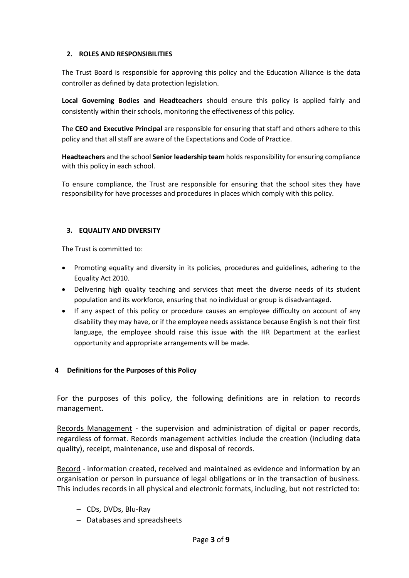#### **2. ROLES AND RESPONSIBILITIES**

The Trust Board is responsible for approving this policy and the Education Alliance is the data controller as defined by data protection legislation.

**Local Governing Bodies and Headteachers** should ensure this policy is applied fairly and consistently within their schools, monitoring the effectiveness of this policy.

The **CEO and Executive Principal** are responsible for ensuring that staff and others adhere to this policy and that all staff are aware of the Expectations and Code of Practice.

**Headteachers** and the school **Senior leadership team** holds responsibility for ensuring compliance with this policy in each school.

To ensure compliance, the Trust are responsible for ensuring that the school sites they have responsibility for have processes and procedures in places which comply with this policy.

## **3. EQUALITY AND DIVERSITY**

The Trust is committed to:

- Promoting equality and diversity in its policies, procedures and guidelines, adhering to the Equality Act 2010.
- Delivering high quality teaching and services that meet the diverse needs of its student population and its workforce, ensuring that no individual or group is disadvantaged.
- If any aspect of this policy or procedure causes an employee difficulty on account of any disability they may have, or if the employee needs assistance because English is not their first language, the employee should raise this issue with the HR Department at the earliest opportunity and appropriate arrangements will be made.

#### **4 Definitions for the Purposes of this Policy**

For the purposes of this policy, the following definitions are in relation to records management.

Records Management - the supervision and administration of digital or paper records, regardless of format. Records management activities include the creation (including data quality), receipt, maintenance, use and disposal of records.

Record - information created, received and maintained as evidence and information by an organisation or person in pursuance of legal obligations or in the transaction of business. This includes records in all physical and electronic formats, including, but not restricted to:

- CDs, DVDs, Blu-Ray
- Databases and spreadsheets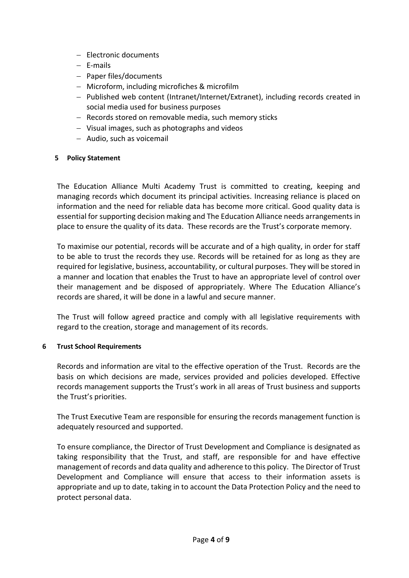- Electronic documents
- $-$  E-mails
- $-$  Paper files/documents
- Microform, including microfiches & microfilm
- Published web content (Intranet/Internet/Extranet), including records created in social media used for business purposes
- Records stored on removable media, such memory sticks
- Visual images, such as photographs and videos
- Audio, such as voicemail

## **5 Policy Statement**

The Education Alliance Multi Academy Trust is committed to creating, keeping and managing records which document its principal activities. Increasing reliance is placed on information and the need for reliable data has become more critical. Good quality data is essential for supporting decision making and The Education Alliance needs arrangements in place to ensure the quality of its data. These records are the Trust's corporate memory.

To maximise our potential, records will be accurate and of a high quality, in order for staff to be able to trust the records they use. Records will be retained for as long as they are required for legislative, business, accountability, or cultural purposes. They will be stored in a manner and location that enables the Trust to have an appropriate level of control over their management and be disposed of appropriately. Where The Education Alliance's records are shared, it will be done in a lawful and secure manner.

The Trust will follow agreed practice and comply with all legislative requirements with regard to the creation, storage and management of its records.

#### **6 Trust School Requirements**

Records and information are vital to the effective operation of the Trust. Records are the basis on which decisions are made, services provided and policies developed. Effective records management supports the Trust's work in all areas of Trust business and supports the Trust's priorities.

The Trust Executive Team are responsible for ensuring the records management function is adequately resourced and supported.

To ensure compliance, the Director of Trust Development and Compliance is designated as taking responsibility that the Trust, and staff, are responsible for and have effective management of records and data quality and adherence to this policy. The Director of Trust Development and Compliance will ensure that access to their information assets is appropriate and up to date, taking in to account the Data Protection Policy and the need to protect personal data.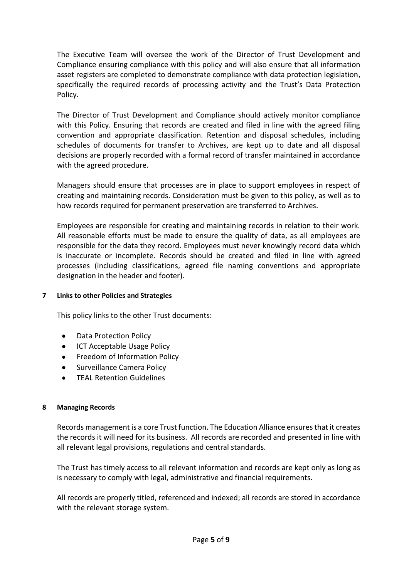The Executive Team will oversee the work of the Director of Trust Development and Compliance ensuring compliance with this policy and will also ensure that all information asset registers are completed to demonstrate compliance with data protection legislation, specifically the required records of processing activity and the Trust's Data Protection Policy.

The Director of Trust Development and Compliance should actively monitor compliance with this Policy. Ensuring that records are created and filed in line with the agreed filing convention and appropriate classification. Retention and disposal schedules, including schedules of documents for transfer to Archives, are kept up to date and all disposal decisions are properly recorded with a formal record of transfer maintained in accordance with the agreed procedure.

Managers should ensure that processes are in place to support employees in respect of creating and maintaining records. Consideration must be given to this policy, as well as to how records required for permanent preservation are transferred to Archives.

Employees are responsible for creating and maintaining records in relation to their work. All reasonable efforts must be made to ensure the quality of data, as all employees are responsible for the data they record. Employees must never knowingly record data which is inaccurate or incomplete. Records should be created and filed in line with agreed processes (including classifications, agreed file naming conventions and appropriate designation in the header and footer).

#### **7 Links to other Policies and Strategies**

This policy links to the other Trust documents:

- [Data](http://insight.eastriding.gov.uk/corporate-information/strategies-plans/) Protection Policy
- ICT Acceptable Usage Policy
- **•** Freedom of Information Policy
- Surveillance Camera Policy
- TEAL Retention Guidelines

#### **8 Managing Records**

Records management is a core Trust function. The Education Alliance ensures that it creates the records it will need for its business. All records are recorded and presented in line with all relevant legal provisions, regulations and central standards.

The Trust has timely access to all relevant information and records are kept only as long as is necessary to comply with legal, administrative and financial requirements.

All records are properly titled, referenced and indexed; all records are stored in accordance with the relevant storage system.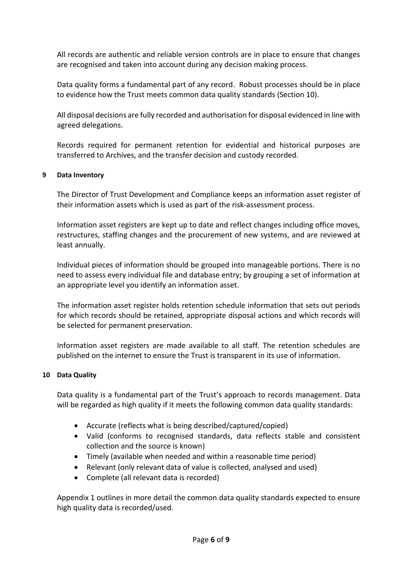All records are authentic and reliable version controls are in place to ensure that changes are recognised and taken into account during any decision making process.

Data quality forms a fundamental part of any record. Robust processes should be in place to evidence how the Trust meets common data quality standards (Section 10).

All disposal decisions are fully recorded and authorisation for disposal evidenced in line with agreed delegations.

Records required for permanent retention for evidential and historical purposes are transferred to Archives, and the transfer decision and custody recorded.

#### **9 Data Inventory**

The Director of Trust Development and Compliance keeps an information asset register of their information assets which is used as part of the risk-assessment process.

Information asset registers are kept up to date and reflect changes including office moves, restructures, staffing changes and the procurement of new systems, and are reviewed at least annually.

Individual pieces of information should be grouped into manageable portions. There is no need to assess every individual file and database entry; by grouping a set of information at an appropriate level you identify an information asset.

The information asset register holds retention schedule information that sets out periods for which records should be retained, appropriate disposal actions and which records will be selected for permanent preservation.

Information asset registers are made available to all staff. The retention schedules are published on the internet to ensure the Trust is transparent in its use of information.

#### **10 Data Quality**

Data quality is a fundamental part of the Trust's approach to records management. Data will be regarded as high quality if it meets the following common data quality standards:

- Accurate (reflects what is being described/captured/copied)
- Valid (conforms to recognised standards, data reflects stable and consistent collection and the source is known)
- Timely (available when needed and within a reasonable time period)
- Relevant (only relevant data of value is collected, analysed and used)
- Complete (all relevant data is recorded)

Appendix 1 outlines in more detail the common data quality standards expected to ensure high quality data is recorded/used.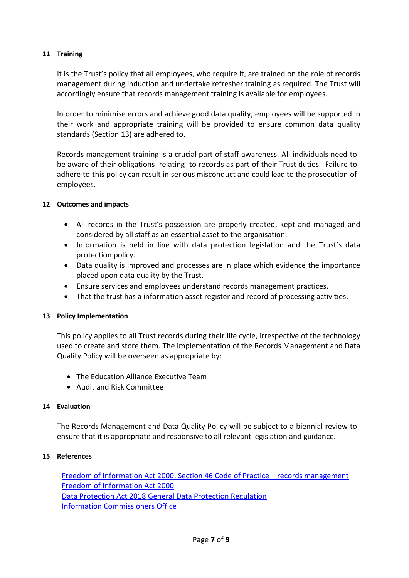#### **11 Training**

It is the Trust's policy that all employees, who require it, are trained on the role of records management during induction and undertake refresher training as required. The Trust will accordingly ensure that records management training is available for employees.

In order to minimise errors and achieve good data quality, employees will be supported in their work and appropriate training will be provided to ensure common data quality standards (Section 13) are adhered to.

Records management training is a crucial part of staff awareness. All individuals need to be aware of their obligations relating to records as part of their Trust duties. Failure to adhere to this policy can result in serious misconduct and could lead to the prosecution of employees.

#### **12 Outcomes and impacts**

- All records in the Trust's possession are properly created, kept and managed and considered by all staff as an essential asset to the organisation.
- Information is held in line with data protection legislation and the Trust's data protection policy.
- Data quality is improved and processes are in place which evidence the importance placed upon data quality by the Trust.
- Ensure services and employees understand records management practices.
- That the trust has a information asset register and record of processing activities.

#### **13 Policy Implementation**

This policy applies to all Trust records during their life cycle, irrespective of the technology used to create and store them. The implementation of the Records Management and Data Quality Policy will be overseen as appropriate by:

- The Education Alliance Executive Team
- Audit and Risk Committee

#### **14 Evaluation**

The Records Management and Data Quality Policy will be subject to a biennial review to ensure that it is appropriate and responsive to all relevant legislation and guidance.

#### **15 References**

[Freedom of Information Act 2000, Section 46 Code of Practice](https://ico.org.uk/media/for-organisations/documents/1624142/section-46-code-of-practice-records-management-foia-and-eir.pdf) – records management [Freedom of Information Act 2000](https://www.legislation.gov.uk/ukpga/2000/36/contents) [Data Protection Act 2018](https://services.parliament.uk/bills/2017-19/dataprotection.html) [General Data Protection Regulation](http://eur-lex.europa.eu/legal-content/EN/TXT/?uri=OJ%3AL%3A2016%3A119%3ATOC) [Information Commissioners Of](https://ico.org.uk/)fice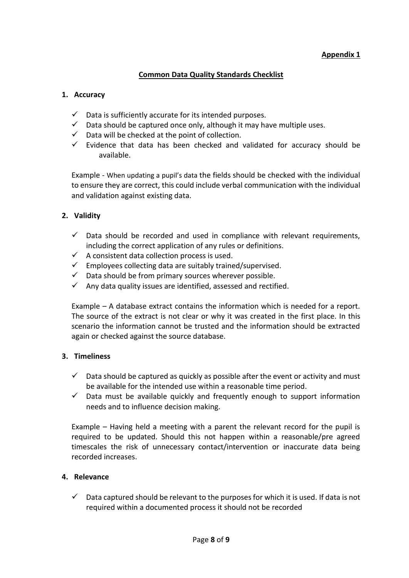# **Appendix 1**

# **Common Data Quality Standards Checklist**

#### **1. Accuracy**

- $\checkmark$  Data is sufficiently accurate for its intended purposes.
- $\checkmark$  Data should be captured once only, although it may have multiple uses.
- $\checkmark$  Data will be checked at the point of collection.
- $\checkmark$  Evidence that data has been checked and validated for accuracy should be available.

Example - When updating a pupil's data the fields should be checked with the individual to ensure they are correct, this could include verbal communication with the individual and validation against existing data.

## **2. Validity**

- $\checkmark$  Data should be recorded and used in compliance with relevant requirements, including the correct application of any rules or definitions.
- $\checkmark$  A consistent data collection process is used.
- $\checkmark$  Employees collecting data are suitably trained/supervised.
- $\checkmark$  Data should be from primary sources wherever possible.
- $\checkmark$  Any data quality issues are identified, assessed and rectified.

Example – A database extract contains the information which is needed for a report. The source of the extract is not clear or why it was created in the first place. In this scenario the information cannot be trusted and the information should be extracted again or checked against the source database.

#### **3. Timeliness**

- $\checkmark$  Data should be captured as quickly as possible after the event or activity and must be available for the intended use within a reasonable time period.
- $\checkmark$  Data must be available quickly and frequently enough to support information needs and to influence decision making.

Example – Having held a meeting with a parent the relevant record for the pupil is required to be updated. Should this not happen within a reasonable/pre agreed timescales the risk of unnecessary contact/intervention or inaccurate data being recorded increases.

## **4. Relevance**

 $\checkmark$  Data captured should be relevant to the purposes for which it is used. If data is not required within a documented process it should not be recorded